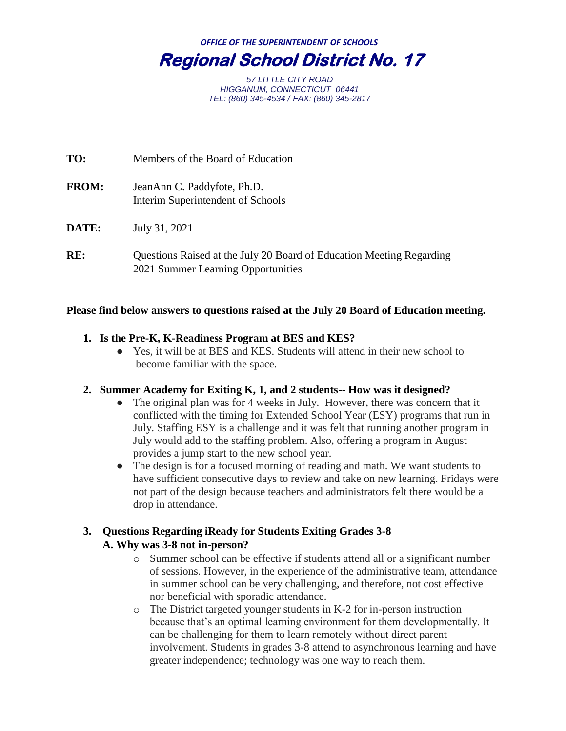*OFFICE OF THE SUPERINTENDENT OF SCHOOLS* **Regional School District No. 17** 

> *57 LITTLE CITY ROAD HIGGANUM, CONNECTICUT 06441 TEL: (860) 345-4534 / FAX: (860) 345-2817*

| TO:          | Members of the Board of Education                                                                          |
|--------------|------------------------------------------------------------------------------------------------------------|
| <b>FROM:</b> | JeanAnn C. Paddyfote, Ph.D.<br>Interim Superintendent of Schools                                           |
| <b>DATE:</b> | July 31, 2021                                                                                              |
| RE:          | Questions Raised at the July 20 Board of Education Meeting Regarding<br>2021 Summer Learning Opportunities |

#### **Please find below answers to questions raised at the July 20 Board of Education meeting.**

# **1. Is the Pre-K, K-Readiness Program at BES and KES?**

● Yes, it will be at BES and KES. Students will attend in their new school to become familiar with the space.

#### **2. Summer Academy for Exiting K, 1, and 2 students-- How was it designed?**

- The original plan was for 4 weeks in July. However, there was concern that it conflicted with the timing for Extended School Year (ESY) programs that run in July. Staffing ESY is a challenge and it was felt that running another program in July would add to the staffing problem. Also, offering a program in August provides a jump start to the new school year.
- The design is for a focused morning of reading and math. We want students to have sufficient consecutive days to review and take on new learning. Fridays were not part of the design because teachers and administrators felt there would be a drop in attendance.

# **3. Questions Regarding iReady for Students Exiting Grades 3-8 A. Why was 3-8 not in-person?**

- o Summer school can be effective if students attend all or a significant number of sessions. However, in the experience of the administrative team, attendance in summer school can be very challenging, and therefore, not cost effective nor beneficial with sporadic attendance.
- o The District targeted younger students in K-2 for in-person instruction because that's an optimal learning environment for them developmentally. It can be challenging for them to learn remotely without direct parent involvement. Students in grades 3-8 attend to asynchronous learning and have greater independence; technology was one way to reach them.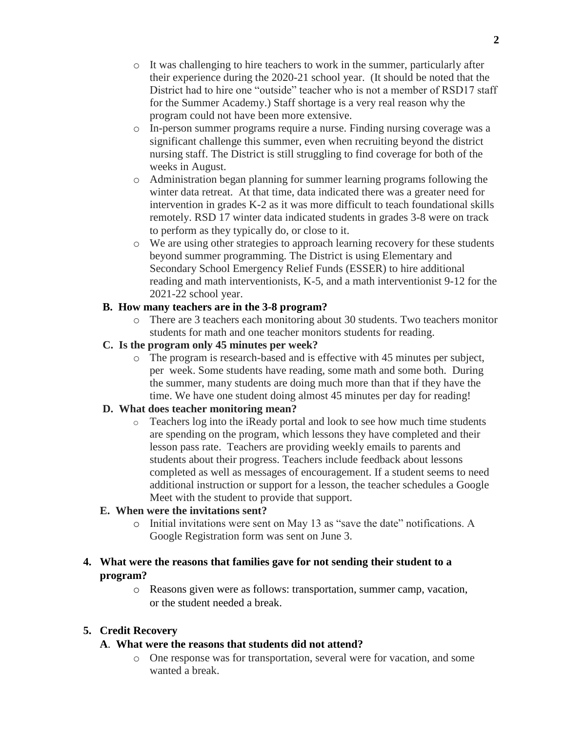- $\circ$  It was challenging to hire teachers to work in the summer, particularly after their experience during the 2020-21 school year. (It should be noted that the District had to hire one "outside" teacher who is not a member of RSD17 staff for the Summer Academy.) Staff shortage is a very real reason why the program could not have been more extensive.
- o In-person summer programs require a nurse. Finding nursing coverage was a significant challenge this summer, even when recruiting beyond the district nursing staff. The District is still struggling to find coverage for both of the weeks in August.
- o Administration began planning for summer learning programs following the winter data retreat. At that time, data indicated there was a greater need for intervention in grades K-2 as it was more difficult to teach foundational skills remotely. RSD 17 winter data indicated students in grades 3-8 were on track to perform as they typically do, or close to it.
- o We are using other strategies to approach learning recovery for these students beyond summer programming. The District is using Elementary and Secondary School Emergency Relief Funds (ESSER) to hire additional reading and math interventionists, K-5, and a math interventionist 9-12 for the 2021-22 school year.

# **B. How many teachers are in the 3-8 program?**

o There are 3 teachers each monitoring about 30 students. Two teachers monitor students for math and one teacher monitors students for reading.

# **C. Is the program only 45 minutes per week?**

o The program is research-based and is effective with 45 minutes per subject, per week. Some students have reading, some math and some both. During the summer, many students are doing much more than that if they have the time. We have one student doing almost 45 minutes per day for reading!

# **D. What does teacher monitoring mean?**

o Teachers log into the iReady portal and look to see how much time students are spending on the program, which lessons they have completed and their lesson pass rate. Teachers are providing weekly emails to parents and students about their progress. Teachers include feedback about lessons completed as well as messages of encouragement. If a student seems to need additional instruction or support for a lesson, the teacher schedules a Google Meet with the student to provide that support.

# **E. When were the invitations sent?**

o Initial invitations were sent on May 13 as "save the date" notifications. A Google Registration form was sent on June 3.

# **4. What were the reasons that families gave for not sending their student to a program?**

o Reasons given were as follows: transportation, summer camp, vacation, or the student needed a break.

# **5. Credit Recovery**

# **A**. **What were the reasons that students did not attend?**

o One response was for transportation, several were for vacation, and some wanted a break.